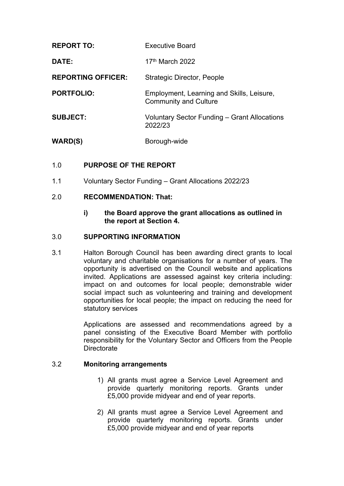| <b>REPORT TO:</b>         | <b>Executive Board</b>                                                    |
|---------------------------|---------------------------------------------------------------------------|
| DATE:                     | 17 <sup>th</sup> March 2022                                               |
| <b>REPORTING OFFICER:</b> | <b>Strategic Director, People</b>                                         |
| <b>PORTFOLIO:</b>         | Employment, Learning and Skills, Leisure,<br><b>Community and Culture</b> |
| <b>SUBJECT:</b>           | Voluntary Sector Funding – Grant Allocations<br>2022/23                   |
| <b>WARD(S)</b>            | Borough-wide                                                              |

# 1.0 **PURPOSE OF THE REPORT**

1.1 Voluntary Sector Funding – Grant Allocations 2022/23

## 2.0 **RECOMMENDATION: That:**

**i) the Board approve the grant allocations as outlined in the report at Section 4.**

### 3.0 **SUPPORTING INFORMATION**

3.1 Halton Borough Council has been awarding direct grants to local voluntary and charitable organisations for a number of years. The opportunity is advertised on the Council website and applications invited. Applications are assessed against key criteria including: impact on and outcomes for local people; demonstrable wider social impact such as volunteering and training and development opportunities for local people; the impact on reducing the need for statutory services

> Applications are assessed and recommendations agreed by a panel consisting of the Executive Board Member with portfolio responsibility for the Voluntary Sector and Officers from the People **Directorate**

# 3.2 **Monitoring arrangements**

- 1) All grants must agree a Service Level Agreement and provide quarterly monitoring reports. Grants under £5,000 provide midyear and end of year reports.
- 2) All grants must agree a Service Level Agreement and provide quarterly monitoring reports. Grants under £5,000 provide midyear and end of year reports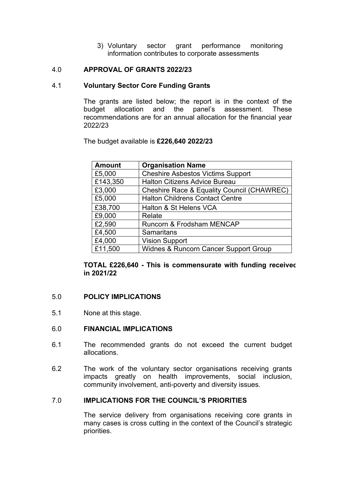3) Voluntary sector grant performance monitoring information contributes to corporate assessments

# 4.0 **APPROVAL OF GRANTS 2022/23**

## 4.1 **Voluntary Sector Core Funding Grants**

The grants are listed below; the report is in the context of the budget allocation and the panel's assessment. These recommendations are for an annual allocation for the financial year 2022/23

The budget available is **£226,640 2022/23**

| <b>Amount</b> | <b>Organisation Name</b>                   |
|---------------|--------------------------------------------|
| £5,000        | <b>Cheshire Asbestos Victims Support</b>   |
| £143,350      | <b>Halton Citizens Advice Bureau</b>       |
| £3,000        | Cheshire Race & Equality Council (CHAWREC) |
| £5,000        | <b>Halton Childrens Contact Centre</b>     |
| £38,700       | Halton & St Helens VCA                     |
| £9,000        | Relate                                     |
| £2,590        | Runcorn & Frodsham MENCAP                  |
| £4,500        | <b>Samaritans</b>                          |
| £4,000        | <b>Vision Support</b>                      |
| £11,500       | Widnes & Runcorn Cancer Support Group      |

**TOTAL £226,640 - This is commensurate with funding received in 2021/22**

#### 5.0 **POLICY IMPLICATIONS**

5.1 None at this stage.

### 6.0 **FINANCIAL IMPLICATIONS**

- 6.1 The recommended grants do not exceed the current budget allocations.
- 6.2 The work of the voluntary sector organisations receiving grants impacts greatly on health improvements, social inclusion, community involvement, anti-poverty and diversity issues.

## 7.0 **IMPLICATIONS FOR THE COUNCIL'S PRIORITIES**

The service delivery from organisations receiving core grants in many cases is cross cutting in the context of the Council's strategic priorities.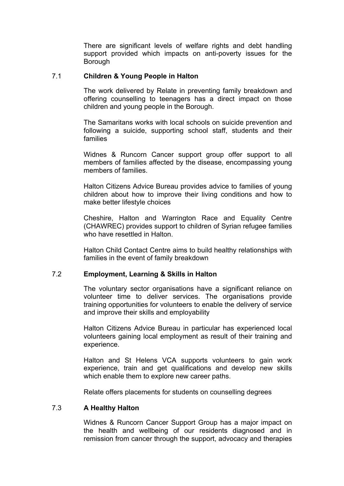There are significant levels of welfare rights and debt handling support provided which impacts on anti-poverty issues for the **Borough** 

### 7.1 **Children & Young People in Halton**

The work delivered by Relate in preventing family breakdown and offering counselling to teenagers has a direct impact on those children and young people in the Borough.

The Samaritans works with local schools on suicide prevention and following a suicide, supporting school staff, students and their families

Widnes & Runcorn Cancer support group offer support to all members of families affected by the disease, encompassing young members of families.

Halton Citizens Advice Bureau provides advice to families of young children about how to improve their living conditions and how to make better lifestyle choices

Cheshire, Halton and Warrington Race and Equality Centre (CHAWREC) provides support to children of Syrian refugee families who have resettled in Halton.

Halton Child Contact Centre aims to build healthy relationships with families in the event of family breakdown

#### 7.2 **Employment, Learning & Skills in Halton**

The voluntary sector organisations have a significant reliance on volunteer time to deliver services. The organisations provide training opportunities for volunteers to enable the delivery of service and improve their skills and employability

Halton Citizens Advice Bureau in particular has experienced local volunteers gaining local employment as result of their training and experience.

Halton and St Helens VCA supports volunteers to gain work experience, train and get qualifications and develop new skills which enable them to explore new career paths.

Relate offers placements for students on counselling degrees

# 7.3 **A Healthy Halton**

Widnes & Runcorn Cancer Support Group has a major impact on the health and wellbeing of our residents diagnosed and in remission from cancer through the support, advocacy and therapies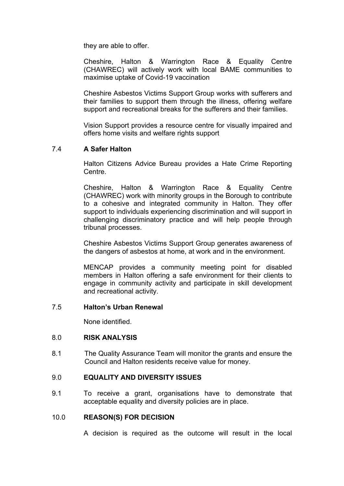they are able to offer.

Cheshire, Halton & Warrington Race & Equality Centre (CHAWREC) will actively work with local BAME communities to maximise uptake of Covid-19 vaccination

Cheshire Asbestos Victims Support Group works with sufferers and their families to support them through the illness, offering welfare support and recreational breaks for the sufferers and their families.

Vision Support provides a resource centre for visually impaired and offers home visits and welfare rights support

# 7.4 **A Safer Halton**

Halton Citizens Advice Bureau provides a Hate Crime Reporting Centre.

Cheshire, Halton & Warrington Race & Equality Centre (CHAWREC) work with minority groups in the Borough to contribute to a cohesive and integrated community in Halton. They offer support to individuals experiencing discrimination and will support in challenging discriminatory practice and will help people through tribunal processes.

Cheshire Asbestos Victims Support Group generates awareness of the dangers of asbestos at home, at work and in the environment.

MENCAP provides a community meeting point for disabled members in Halton offering a safe environment for their clients to engage in community activity and participate in skill development and recreational activity.

### 7.5 **Halton's Urban Renewal**

None identified.

## 8.0 **RISK ANALYSIS**

8.1 The Quality Assurance Team will monitor the grants and ensure the Council and Halton residents receive value for money.

# 9.0 **EQUALITY AND DIVERSITY ISSUES**

9.1 To receive a grant, organisations have to demonstrate that acceptable equality and diversity policies are in place.

## 10.0 **REASON(S) FOR DECISION**

A decision is required as the outcome will result in the local